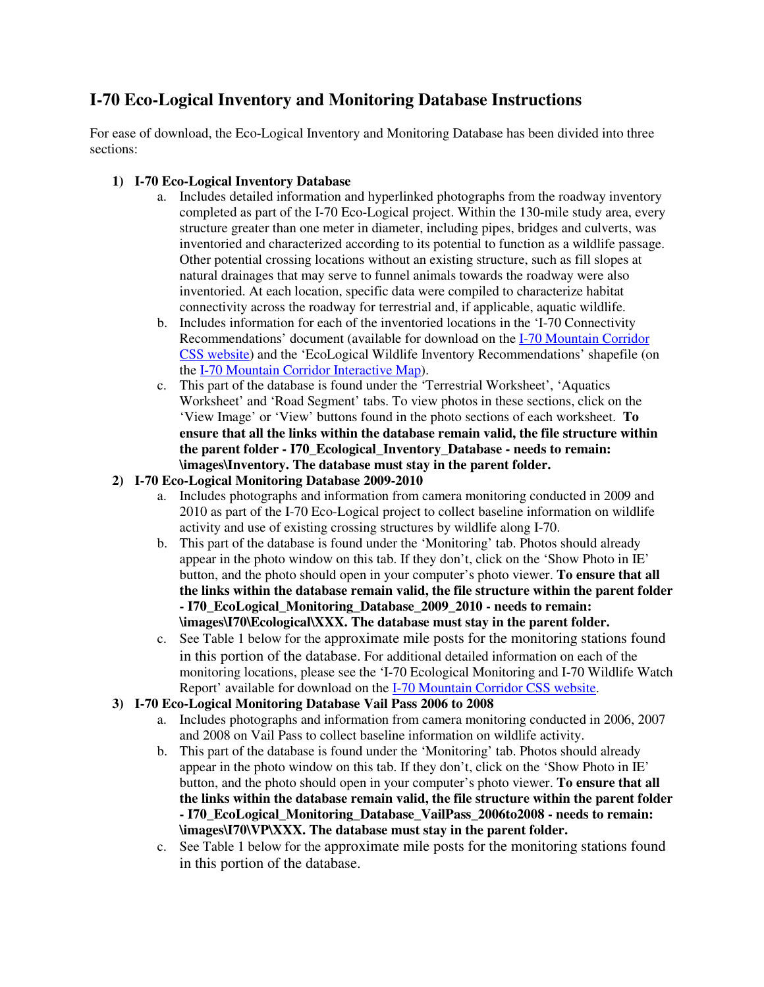## **I-70 Eco-Logical Inventory and Monitoring Database Instructions**

For ease of download, the Eco-Logical Inventory and Monitoring Database has been divided into three sections:

## **1) I-70 Eco-Logical Inventory Database**

- a. Includes detailed information and hyperlinked photographs from the roadway inventory completed as part of the I-70 Eco-Logical project. Within the 130-mile study area, every structure greater than one meter in diameter, including pipes, bridges and culverts, was inventoried and characterized according to its potential to function as a wildlife passage. Other potential crossing locations without an existing structure, such as fill slopes at natural drainages that may serve to funnel animals towards the roadway were also inventoried. At each location, specific data were compiled to characterize habitat connectivity across the roadway for terrestrial and, if applicable, aquatic wildlife.
- b. Includes information for each of the inventoried locations in the 'I-70 Connectivity Recommendations' document (available for download on the I-70 Mountain Corridor [CSS website\) and the 'EcoLogical Wildlife Inventory Recommendations' shapefile \(o](http://i70mtncorridorcss.com/docs/core-values/healthy-environment/I-70 Connectivity Recommendations.pdf)n the [I-70 Mountain Corridor Interactive Map\).](http://204.227.9.152/cdoti70css/index.html)
- c. This part of the database is found under the 'Terrestrial Worksheet', 'Aquatics Worksheet' and 'Road Segment' tabs. To view photos in these sections, click on the 'View Image' or 'View' buttons found in the photo sections of each worksheet. **To ensure that all the links within the database remain valid, the file structure within the parent folder - I70\_Ecological\_Inventory\_Database - needs to remain: \images\Inventory. The database must stay in the parent folder.**
- **2) I-70 Eco-Logical Monitoring Database 2009-2010** 
	- a. Includes photographs and information from camera monitoring conducted in 2009 and 2010 as part of the I-70 Eco-Logical project to collect baseline information on wildlife activity and use of existing crossing structures by wildlife along I-70.
	- b. This part of the database is found under the 'Monitoring' tab. Photos should already appear in the photo window on this tab. If they don't, click on the 'Show Photo in IE' button, and the photo should open in your computer's photo viewer. **To ensure that all the links within the database remain valid, the file structure within the parent folder - I70\_EcoLogical\_Monitoring\_Database\_2009\_2010 - needs to remain: \images\I70\Ecological\XXX. The database must stay in the parent folder.**
	- c. See Table 1 below for the approximate mile posts for the monitoring stations found in this portion of the database. For additional detailed information on each of the monitoring locations, please see the 'I-70 Ecological Monitoring and I-70 Wildlife Watch Report' available for download on the [I-70 Mountain Corridor CSS website.](http://i70mtncorridorcss.com/docs/core-values/healthy-environment/I-70 Monitoring and I-70 Wildlife Watch Report.pdf)
- **3) I-70 Eco-Logical Monitoring Database Vail Pass 2006 to 2008** 
	- a. Includes photographs and information from camera monitoring conducted in 2006, 2007 and 2008 on Vail Pass to collect baseline information on wildlife activity.
	- b. This part of the database is found under the 'Monitoring' tab. Photos should already appear in the photo window on this tab. If they don't, click on the 'Show Photo in IE' button, and the photo should open in your computer's photo viewer. **To ensure that all the links within the database remain valid, the file structure within the parent folder - I70\_EcoLogical\_Monitoring\_Database\_VailPass\_2006to2008 - needs to remain: \images\I70\VP\XXX. The database must stay in the parent folder.**
	- c. See Table 1 below for the approximate mile posts for the monitoring stations found in this portion of the database.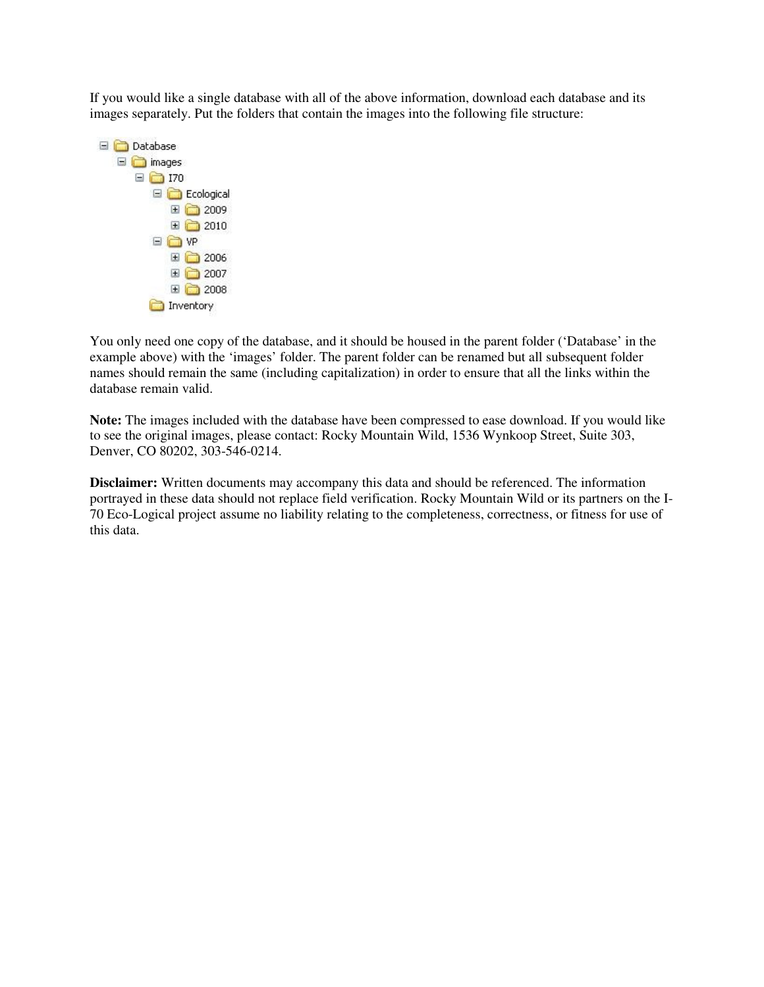If you would like a single database with all of the above information, download each database and its images separately. Put the folders that contain the images into the following file structure:



You only need one copy of the database, and it should be housed in the parent folder ('Database' in the example above) with the 'images' folder. The parent folder can be renamed but all subsequent folder names should remain the same (including capitalization) in order to ensure that all the links within the database remain valid.

**Note:** The images included with the database have been compressed to ease download. If you would like to see the original images, please contact: Rocky Mountain Wild, 1536 Wynkoop Street, Suite 303, Denver, CO 80202, 303-546-0214.

**Disclaimer:** Written documents may accompany this data and should be referenced. The information portrayed in these data should not replace field verification. Rocky Mountain Wild or its partners on the I-70 Eco-Logical project assume no liability relating to the completeness, correctness, or fitness for use of this data.